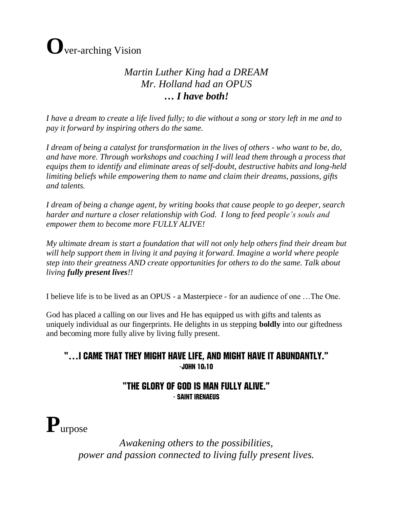# **O**ver-arching Vision

### *Martin Luther King had a DREAM Mr. Holland had an OPUS … I have both!*

*I have a dream to create a life lived fully; to die without a song or story left in me and to pay it forward by inspiring others do the same.*

*I dream of being a catalyst for transformation in the lives of others - who want to be, do, and have more. Through workshops and coaching I will lead them through a process that equips them to identify and eliminate areas of self-doubt, destructive habits and long-held limiting beliefs while empowering them to name and claim their dreams, passions, gifts and talents.*

*I dream of being a change agent, by writing books that cause people to go deeper, search harder and nurture a closer relationship with God. I long to feed people's souls and empower them to become more FULLY ALIVE!*

*My ultimate dream is start a foundation that will not only help others find their dream but will help support them in living it and paying it forward. Imagine a world where people step into their greatness AND create opportunities for others to do the same. Talk about living fully present lives!!*

I believe life is to be lived as an OPUS - a Masterpiece - for an audience of one …The One.

God has placed a calling on our lives and He has equipped us with gifts and talents as uniquely individual as our fingerprints. He delights in us stepping **boldly** into our giftedness and becoming more fully alive by living fully present.

#### "…I came that they might have life, and might have it abundantly." -John 10:10

#### "The glory of God is man fully alive." - Saint Irenaeus

**P**urpose

*Awakening others to the possibilities, power and passion connected to living fully present lives.*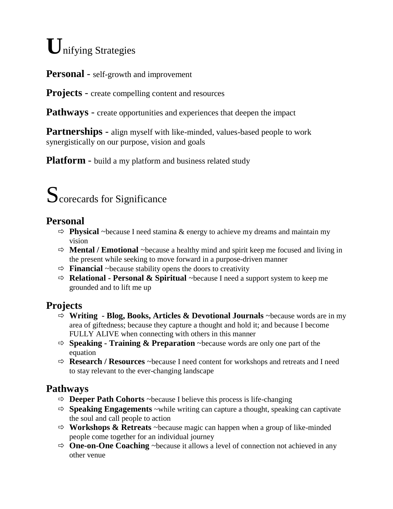# **U**nifying Strategies

**Personal** - self-growth and improvement

**Projects** - create compelling content and resources

**Pathways** - create opportunities and experiences that deepen the impact

**Partnerships** - align myself with like-minded, values-based people to work synergistically on our purpose, vision and goals

**Platform** - build a my platform and business related study

# Scorecards for Significance

#### **Personal**

- $\Rightarrow$  **Physical** ~because I need stamina & energy to achieve my dreams and maintain my vision
- $\Rightarrow$  **Mental / Emotional** ~because a healthy mind and spirit keep me focused and living in the present while seeking to move forward in a purpose-driven manner
- $\Rightarrow$  **Financial** ~because stability opens the doors to creativity
- $\Rightarrow$  **Relational Personal & Spiritual** ~because I need a support system to keep me grounded and to lift me up

# **Projects**

- **Writing - Blog, Books, Articles & Devotional Journals** ~because words are in my area of giftedness; because they capture a thought and hold it; and because I become FULLY ALIVE when connecting with others in this manner
- **Speaking - Training & Preparation** ~because words are only one part of the equation
- **Research / Resources** ~because I need content for workshops and retreats and I need to stay relevant to the ever-changing landscape

# **Pathways**

- $\Rightarrow$  **Deeper Path Cohorts** ~because I believe this process is life-changing
- $\Rightarrow$  **Speaking Engagements** ~while writing can capture a thought, speaking can captivate the soul and call people to action
- $\Rightarrow$  **Workshops & Retreats** ~because magic can happen when a group of like-minded people come together for an individual journey
- $\Rightarrow$  **One-on-One Coaching** ~because it allows a level of connection not achieved in any other venue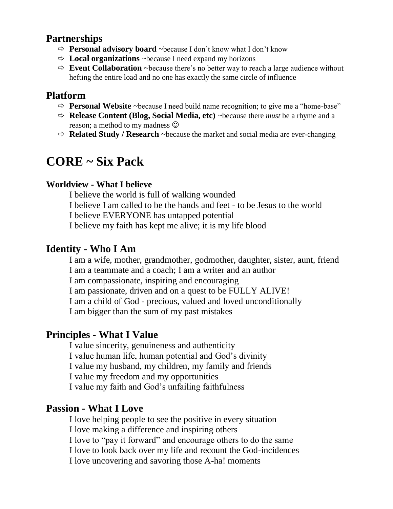#### **Partnerships**

- **Personal advisory board** ~because I don't know what I don't know
- $\Rightarrow$  **Local organizations** ~because I need expand my horizons
- $\Rightarrow$  **Event Collaboration** ~because there's no better way to reach a large audience without hefting the entire load and no one has exactly the same circle of influence

#### **Platform**

- $\Rightarrow$  **Personal Website** ~because I need build name recognition; to give me a "home-base"
- $\Rightarrow$  **Release Content (Blog, Social Media, etc)** ~because there *must* be a rhyme and a reason; a method to my madness  $\odot$
- $\Rightarrow$  **Related Study / Research** ~because the market and social media are ever-changing

# **CORE ~ Six Pack**

#### **Worldview - What I believe**

I believe the world is full of walking wounded I believe I am called to be the hands and feet - to be Jesus to the world I believe EVERYONE has untapped potential I believe my faith has kept me alive; it is my life blood

#### **Identity - Who I Am**

I am a wife, mother, grandmother, godmother, daughter, sister, aunt, friend I am a teammate and a coach; I am a writer and an author I am compassionate, inspiring and encouraging I am passionate, driven and on a quest to be FULLY ALIVE! I am a child of God - precious, valued and loved unconditionally I am bigger than the sum of my past mistakes

### **Principles - What I Value**

I value sincerity, genuineness and authenticity I value human life, human potential and God's divinity I value my husband, my children, my family and friends I value my freedom and my opportunities I value my faith and God's unfailing faithfulness

#### **Passion - What I Love**

I love helping people to see the positive in every situation I love making a difference and inspiring others I love to "pay it forward" and encourage others to do the same I love to look back over my life and recount the God-incidences I love uncovering and savoring those A-ha! moments